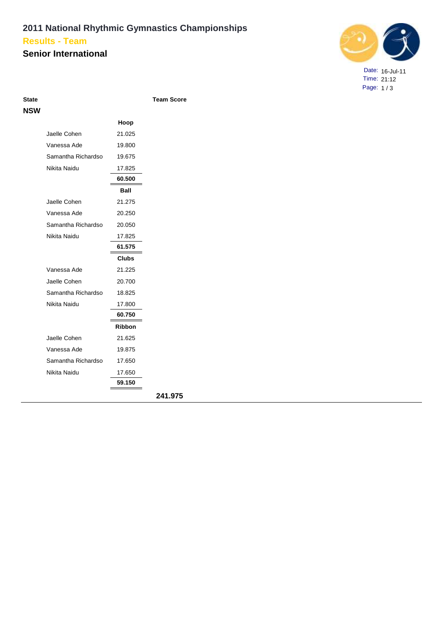## **2011 National Rhythmic Gymnastics Championships Results - Team**

## **Senior International**



Date: 16-Jul-11 Time: 21:12 Page: 1 / 3

| I<br>. .<br>۰.<br>o m<br>o m<br>M.<br>۰.<br>× |
|-----------------------------------------------|
|-----------------------------------------------|

**Team Score** 

| <b>NSW</b> |                    |               |         |
|------------|--------------------|---------------|---------|
|            |                    | Hoop          |         |
|            | Jaelle Cohen       | 21.025        |         |
|            | Vanessa Ade        | 19.800        |         |
|            | Samantha Richardso | 19.675        |         |
|            | Nikita Naidu       | 17.825        |         |
|            |                    | 60.500        |         |
|            |                    | Ball          |         |
|            | Jaelle Cohen       | 21.275        |         |
|            | Vanessa Ade        | 20.250        |         |
|            | Samantha Richardso | 20.050        |         |
|            | Nikita Naidu       | 17.825        |         |
|            |                    | 61.575        |         |
|            |                    | <b>Clubs</b>  |         |
|            | Vanessa Ade        | 21.225        |         |
|            | Jaelle Cohen       | 20.700        |         |
|            | Samantha Richardso | 18.825        |         |
|            | Nikita Naidu       | 17.800        |         |
|            |                    | 60.750        |         |
|            |                    | <b>Ribbon</b> |         |
|            | Jaelle Cohen       | 21.625        |         |
|            | Vanessa Ade        | 19.875        |         |
|            | Samantha Richardso | 17.650        |         |
|            | Nikita Naidu       | 17.650        |         |
|            |                    | 59.150        |         |
|            |                    |               | 241.975 |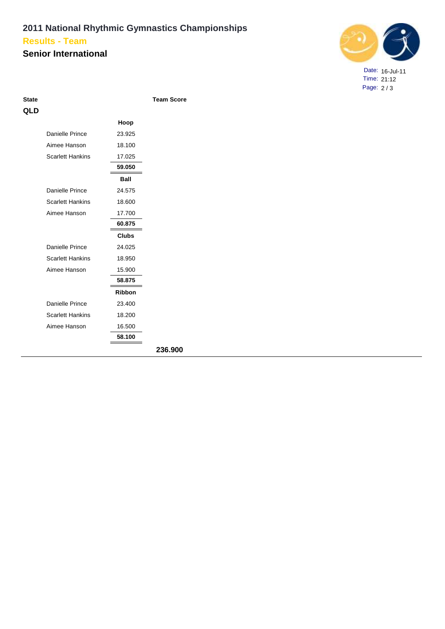#### **2011 National Rhythmic Gymnastics Championships Senior International Results - Team**



Date: 16-Jul-11 Time: 21:12 Page: 2 / 3

**Team Score** 

| QLD |                         |               |         |
|-----|-------------------------|---------------|---------|
|     |                         | Hoop          |         |
|     | Danielle Prince         | 23.925        |         |
|     | Aimee Hanson            | 18.100        |         |
|     | <b>Scarlett Hankins</b> | 17.025        |         |
|     |                         | 59.050        |         |
|     |                         | <b>Ball</b>   |         |
|     | Danielle Prince         | 24.575        |         |
|     | <b>Scarlett Hankins</b> | 18.600        |         |
|     | Aimee Hanson            | 17.700        |         |
|     |                         | 60.875        |         |
|     |                         | <b>Clubs</b>  |         |
|     | Danielle Prince         | 24.025        |         |
|     | <b>Scarlett Hankins</b> | 18.950        |         |
|     | Aimee Hanson            | 15.900        |         |
|     |                         | 58,875        |         |
|     |                         | <b>Ribbon</b> |         |
|     | Danielle Prince         | 23.400        |         |
|     | <b>Scarlett Hankins</b> | 18.200        |         |
|     | Aimee Hanson            | 16.500        |         |
|     |                         | 58.100        |         |
|     |                         |               | 236.900 |